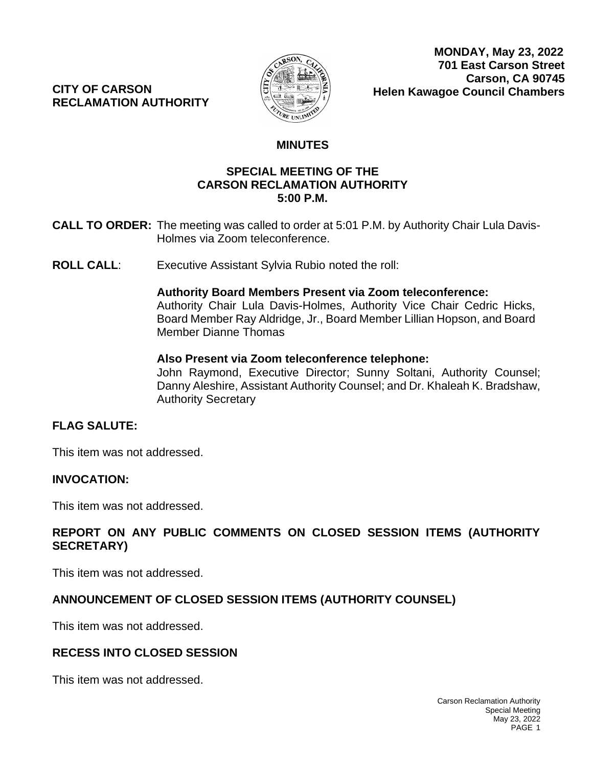**CITY OF CARSON RECLAMATION AUTHORITY**



# **MINUTES**

#### **CALL TO OP.M.** By Authority Chairman Albert at 4:31 P.M. by Authority Chairman Albert at 4:31 P.M. by Authority Chairman Albert at 4:31 P.M. by Authority Chairman Albert at 4:31 P.M. by Authority Chairman Albert at 4:31 P **SPECIAL MEETING OF THE CARSON RECLAMATION AUTHORITY 5:00 P.M.**

- **CALL TO ORDER:** The meeting was called to order at 5:01 P.M. by Authority Chair Lula Davis-Holmes via Zoom teleconference.
- **ROLL CALL:** Executive Assistant Sylvia Rubio noted the roll:

#### **Authority Board Members Present via Zoom teleconference:**

Authority Chair Lula Davis-Holmes, Authority Vice Chair Cedric Hicks, Board Member Ray Aldridge, Jr., Board Member Lillian Hopson, and Board Member Dianne Thomas

#### **Also Present via Zoom teleconference telephone:**

John Raymond, Executive Director; Sunny Soltani, Authority Counsel; Danny Aleshire, Assistant Authority Counsel; and Dr. Khaleah K. Bradshaw, Authority Secretary

# **FLAG SALUTE:**

This item was not addressed.

# **INVOCATION:**

This item was not addressed.

# **REPORT ON ANY PUBLIC COMMENTS ON CLOSED SESSION ITEMS (AUTHORITY SECRETARY)**

This item was not addressed.

# **ANNOUNCEMENT OF CLOSED SESSION ITEMS (AUTHORITY COUNSEL)**

This item was not addressed.

# **RECESS INTO CLOSED SESSION**

This item was not addressed.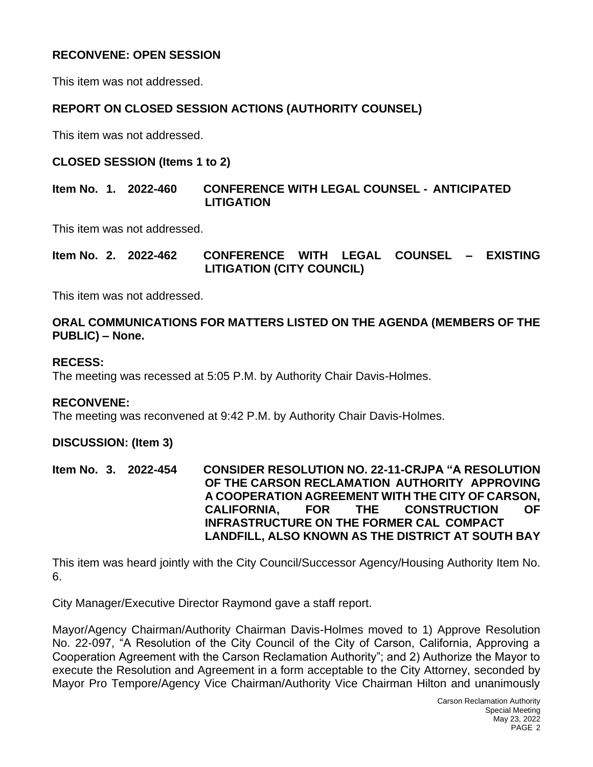# **RECONVENE: OPEN SESSION**

This item was not addressed.

### **REPORT ON CLOSED SESSION ACTIONS (AUTHORITY COUNSEL)**

This item was not addressed.

#### **CLOSED SESSION (Items 1 to 2)**

**Item No. 1. 2022-460 CONFERENCE WITH LEGAL COUNSEL - ANTICIPATED LITIGATION**

This item was not addressed.

**Item No. 2. 2022-462 CONFERENCE WITH LEGAL COUNSEL – EXISTING LITIGATION (CITY COUNCIL)**

This item was not addressed.

#### **ORAL COMMUNICATIONS FOR MATTERS LISTED ON THE AGENDA (MEMBERS OF THE PUBLIC) – None.**

#### **RECESS:**

The meeting was recessed at 5:05 P.M. by Authority Chair Davis-Holmes.

#### **RECONVENE:**

The meeting was reconvened at 9:42 P.M. by Authority Chair Davis-Holmes.

#### **DISCUSSION: (Item 3)**

**Item No. 3. 2022-454 CONSIDER RESOLUTION NO. 22-11-CRJPA "A RESOLUTION OF THE CARSON RECLAMATION AUTHORITY APPROVING A COOPERATION AGREEMENT WITH THE CITY OF CARSON, CALIFORNIA, FOR THE CONSTRUCTION OF INFRASTRUCTURE ON THE FORMER CAL COMPACT LANDFILL, ALSO KNOWN AS THE DISTRICT AT SOUTH BAY**

This item was heard jointly with the City Council/Successor Agency/Housing Authority Item No. 6.

City Manager/Executive Director Raymond gave a staff report.

Mayor/Agency Chairman/Authority Chairman Davis-Holmes moved to 1) Approve Resolution No. 22-097, "A Resolution of the City Council of the City of Carson, California, Approving a Cooperation Agreement with the Carson Reclamation Authority"; and 2) Authorize the Mayor to execute the Resolution and Agreement in a form acceptable to the City Attorney, seconded by Mayor Pro Tempore/Agency Vice Chairman/Authority Vice Chairman Hilton and unanimously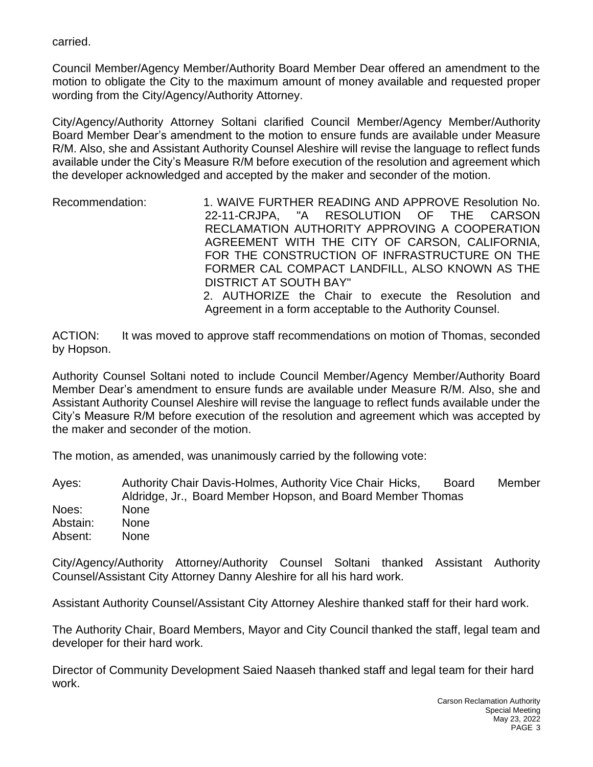carried.

Council Member/Agency Member/Authority Board Member Dear offered an amendment to the motion to obligate the City to the maximum amount of money available and requested proper wording from the City/Agency/Authority Attorney.

City/Agency/Authority Attorney Soltani clarified Council Member/Agency Member/Authority Board Member Dear's amendment to the motion to ensure funds are available under Measure R/M. Also, she and Assistant Authority Counsel Aleshire will revise the language to reflect funds available under the City's Measure R/M before execution of the resolution and agreement which the developer acknowledged and accepted by the maker and seconder of the motion.

Recommendation: 1. WAIVE FURTHER READING AND APPROVE Resolution No. 22-11-CRJPA, "A RESOLUTION OF THE CARSON RECLAMATION AUTHORITY APPROVING A COOPERATION AGREEMENT WITH THE CITY OF CARSON, CALIFORNIA, FOR THE CONSTRUCTION OF INFRASTRUCTURE ON THE FORMER CAL COMPACT LANDFILL, ALSO KNOWN AS THE DISTRICT AT SOUTH BAY" 2. AUTHORIZE the Chair to execute the Resolution and Agreement in a form acceptable to the Authority Counsel.

ACTION: It was moved to approve staff recommendations on motion of Thomas, seconded by Hopson.

Authority Counsel Soltani noted to include Council Member/Agency Member/Authority Board Member Dear's amendment to ensure funds are available under Measure R/M. Also, she and Assistant Authority Counsel Aleshire will revise the language to reflect funds available under the City's Measure R/M before execution of the resolution and agreement which was accepted by the maker and seconder of the motion.

The motion, as amended, was unanimously carried by the following vote:

Ayes: Authority Chair Davis-Holmes, Authority Vice Chair Hicks, Board Member Aldridge, Jr., Board Member Hopson, and Board Member Thomas Noes: None Abstain: None Absent: None

City/Agency/Authority Attorney/Authority Counsel Soltani thanked Assistant Authority Counsel/Assistant City Attorney Danny Aleshire for all his hard work.

Assistant Authority Counsel/Assistant City Attorney Aleshire thanked staff for their hard work.

The Authority Chair, Board Members, Mayor and City Council thanked the staff, legal team and developer for their hard work.

Director of Community Development Saied Naaseh thanked staff and legal team for their hard work.